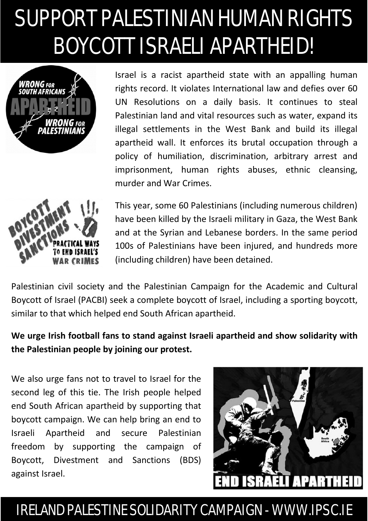## SUPPORT PALESTINIAN HUMAN RIGHTS BOYCOTT ISRAELI APARTHEID!







This year, some 60 Palestinians (including numerous children) have been killed by the Israeli military in Gaza, the West Bank and at the Syrian and Lebanese borders. In the same period 100s of Palestinians have been injured, and hundreds more (including children) have been detained.

Palestinian civil society and the Palestinian Campaign for the Academic and Cultural Boycott of Israel (PACBI) seek a complete boycott of Israel, including a sporting boycott, similar to that which helped end South African apartheid.

**We urge Irish football fans to stand against Israeli apartheid and show solidarity with the Palestinian people by joining our protest.**

We also urge fans not to travel to Israel for the second leg of this tie. The Irish people helped end South African apartheid by supporting that boycott campaign. We can help bring an end to Israeli Apartheid and secure Palestinian freedom by supporting the campaign of Boycott, Divestment and Sanctions (BDS) against Israel.



## IRELAND PALESTINE SOLIDARITY CAMPAIGN - WWW.IPSC.IE